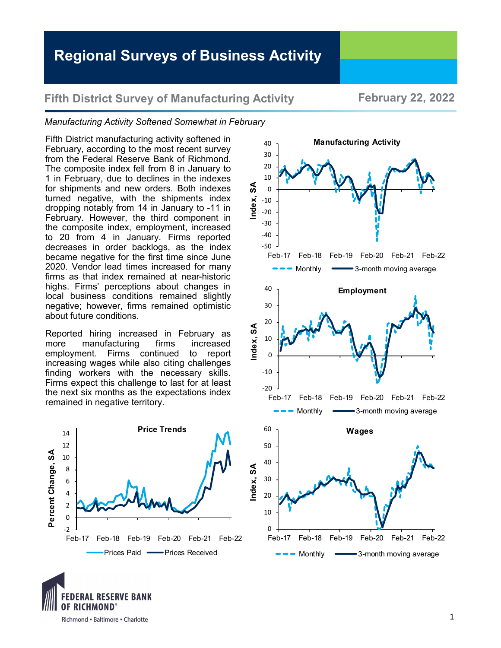## **Fifth District Survey of Manufacturing Activity February 22, 2022**

## *Manufacturing Activity Softened Somewhat in February*

Fifth District manufacturing activity softened in February, according to the most recent survey from the Federal Reserve Bank of Richmond. The composite index fell from 8 in January to 1 in February, due to declines in the indexes for shipments and new orders. Both indexes turned negative, with the shipments index dropping notably from 14 in January to -11 in February. However, the third component in the composite index, employment, increased to 20 from 4 in January. Firms reported decreases in order backlogs, as the index became negative for the first time since June 2020. Vendor lead times increased for many firms as that index remained at near-historic highs. Firms' perceptions about changes in local business conditions remained slightly negative; however, firms remained optimistic about future conditions.

Reported hiring increased in February as more manufacturing firms increased employment. Firms continued to report increasing wages while also citing challenges finding workers with the necessary skills. Firms expect this challenge to last for at least the next six months as the expectations index remained in negative territory.